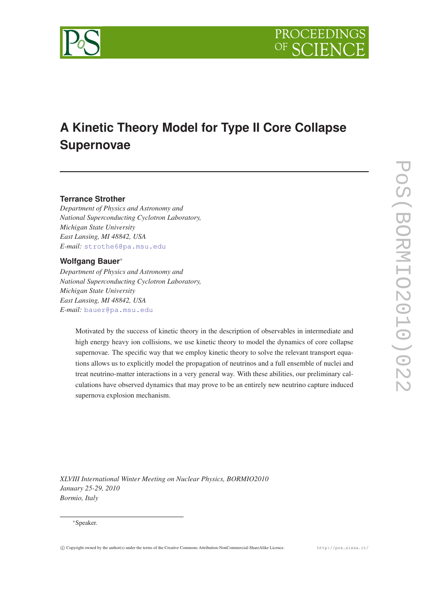



# **A Kinetic Theory Model for Type II Core Collapse Supernovae**

## **Terrance Strother**

*Department of Physics and Astronomy and National Superconducting Cyclotron Laboratory, Michigan State University East Lansing, MI 48842, USA E-mail:* [strothe6@pa.msu.edu](mailto:strothe6@pa.msu.edu)

## **Wolfgang Bauer**<sup>∗</sup>

*Department of Physics and Astronomy and National Superconducting Cyclotron Laboratory, Michigan State University East Lansing, MI 48842, USA E-mail:* [bauer@pa.msu.edu](mailto:bauer@pa.msu.edu)

> Motivated by the success of kinetic theory in the description of observables in intermediate and high energy heavy ion collisions, we use kinetic theory to model the dynamics of core collapse supernovae. The specific way that we employ kinetic theory to solve the relevant transport equations allows us to explicitly model the propagation of neutrinos and a full ensemble of nuclei and treat neutrino-matter interactions in a very general way. With these abilities, our preliminary calculations have observed dynamics that may prove to be an entirely new neutrino capture induced supernova explosion mechanism.

*XLVIII International Winter Meeting on Nuclear Physics, BORMIO2010 January 25-29, 2010 Bormio, Italy*

#### <sup>∗</sup>Speaker.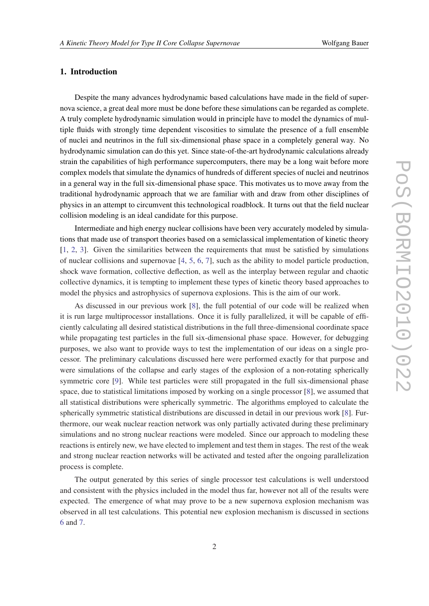## 1. Introduction

Despite the many advances hydrodynamic based calculations have made in the field of supernova science, a great deal more must be done before these simulations can be regarded as complete. A truly complete hydrodynamic simulation would in principle have to model the dynamics of multiple fluids with strongly time dependent viscosities to simulate the presence of a full ensemble of nuclei and neutrinos in the full six-dimensional phase space in a completely general way. No hydrodynamic simulation can do this yet. Since state-of-the-art hydrodynamic calculations already strain the capabilities of high performance supercomputers, there may be a long wait before more complex models that simulate the dynamics of hundreds of different species of nuclei and neutrinos in a general way in the full six-dimensional phase space. This motivates us to move away from the traditional hydrodynamic approach that we are familiar with and draw from other disciplines of physics in an attempt to circumvent this technological roadblock. It turns out that the field nuclear collision modeling is an ideal candidate for this purpose.

Intermediate and high energy nuclear collisions have been very accurately modeled by simulations that made use of transport theories based on a semiclassical implementation of kinetic theory [[1](#page-8-0), [2](#page-8-0), [3\]](#page-8-0). Given the similarities between the requirements that must be satisfied by simulations of nuclear collisions and supernovae [\[4,](#page-8-0) [5](#page-8-0), [6](#page-8-0), [7\]](#page-8-0), such as the ability to model particle production, shock wave formation, collective deflection, as well as the interplay between regular and chaotic collective dynamics, it is tempting to implement these types of kinetic theory based approaches to model the physics and astrophysics of supernova explosions. This is the aim of our work.

As discussed in our previous work [\[8\]](#page-8-0), the full potential of our code will be realized when it is run large multiprocessor installations. Once it is fully parallelized, it will be capable of efficiently calculating all desired statistical distributions in the full three-dimensional coordinate space while propagating test particles in the full six-dimensional phase space. However, for debugging purposes, we also want to provide ways to test the implementation of our ideas on a single processor. The preliminary calculations discussed here were performed exactly for that purpose and were simulations of the collapse and early stages of the explosion of a non-rotating spherically symmetric core [\[9\]](#page-8-0). While test particles were still propagated in the full six-dimensional phase space, due to statistical limitations imposed by working on a single processor [[8\]](#page-8-0), we assumed that all statistical distributions were spherically symmetric. The algorithms employed to calculate the spherically symmetric statistical distributions are discussed in detail in our previous work [\[8\]](#page-8-0). Furthermore, our weak nuclear reaction network was only partially activated during these preliminary simulations and no strong nuclear reactions were modeled. Since our approach to modeling these reactions is entirely new, we have elected to implement and test them in stages. The rest of the weak and strong nuclear reaction networks will be activated and tested after the ongoing parallelization process is complete.

The output generated by this series of single processor test calculations is well understood and consistent with the physics included in the model thus far, however not all of the results were expected. The emergence of what may prove to be a new supernova explosion mechanism was observed in all test calculations. This potential new explosion mechanism is discussed in sections [6](#page-6-0) and [7](#page-7-0).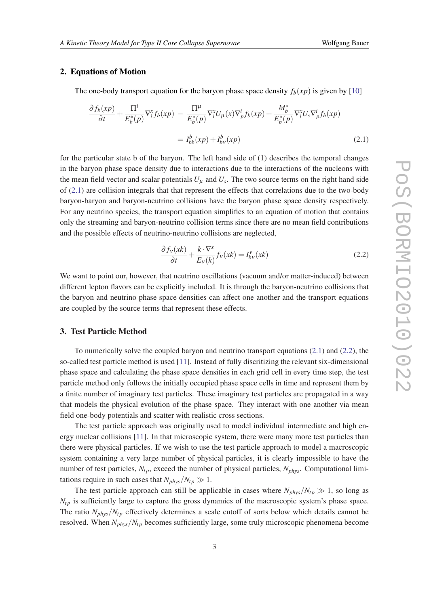#### <span id="page-2-0"></span>2. Equations of Motion

The one-body transport equation for the baryon phase space density  $f<sub>b</sub>(xp)$  is given by [[10\]](#page-8-0)

$$
\frac{\partial f_b(xp)}{\partial t} + \frac{\Pi^i}{E_b^*(p)} \nabla_i^x f_b(xp) - \frac{\Pi^\mu}{E_b^*(p)} \nabla_i^x U_\mu(x) \nabla_p^i f_b(xp) + \frac{M_b^*}{E_b^*(p)} \nabla_i^x U_s \nabla_p^i f_b(xp)
$$
\n
$$
= I_{bb}^b(xp) + I_{by}^b(xp) \tag{2.1}
$$

for the particular state b of the baryon. The left hand side of (1) describes the temporal changes in the baryon phase space density due to interactions due to the interactions of the nucleons with the mean field vector and scalar potentials  $U_{\mu}$  and  $U_{s}$ . The two source terms on the right hand side of (2.1) are collision integrals that that represent the effects that correlations due to the two-body baryon-baryon and baryon-neutrino collisions have the baryon phase space density respectively. For any neutrino species, the transport equation simplifies to an equation of motion that contains only the streaming and baryon-neutrino collision terms since there are no mean field contributions and the possible effects of neutrino-neutrino collisions are neglected,

$$
\frac{\partial f_V(xk)}{\partial t} + \frac{k \cdot \nabla^x}{E_V(k)} f_V(xk) = I_{bv}^V(xk)
$$
\n(2.2)

We want to point our, however, that neutrino oscillations (vacuum and/or matter-induced) between different lepton flavors can be explicitly included. It is through the baryon-neutrino collisions that the baryon and neutrino phase space densities can affect one another and the transport equations are coupled by the source terms that represent these effects.

#### 3. Test Particle Method

To numerically solve the coupled baryon and neutrino transport equations (2.1) and (2.2), the so-called test particle method is used [[11\]](#page-8-0). Instead of fully discritizing the relevant six-dimensional phase space and calculating the phase space densities in each grid cell in every time step, the test particle method only follows the initially occupied phase space cells in time and represent them by a finite number of imaginary test particles. These imaginary test particles are propagated in a way that models the physical evolution of the phase space. They interact with one another via mean field one-body potentials and scatter with realistic cross sections.

The test particle approach was originally used to model individual intermediate and high energy nuclear collisions [[11\]](#page-8-0). In that microscopic system, there were many more test particles than there were physical particles. If we wish to use the test particle approach to model a macroscopic system containing a very large number of physical particles, it is clearly impossible to have the number of test particles,  $N_{tp}$ , exceed the number of physical particles,  $N_{phys}$ . Computational limitations require in such cases that  $N_{phys}/N_{tp} \gg 1$ .

The test particle approach can still be applicable in cases where  $N_{phys}/N_{tp} \gg 1$ , so long as  $N_{tp}$  is sufficiently large to capture the gross dynamics of the macroscopic system's phase space. The ratio  $N_{phys}/N_{tp}$  effectively determines a scale cutoff of sorts below which details cannot be resolved. When  $N_{phys}/N_{tp}$  becomes sufficiently large, some truly microscopic phenomena become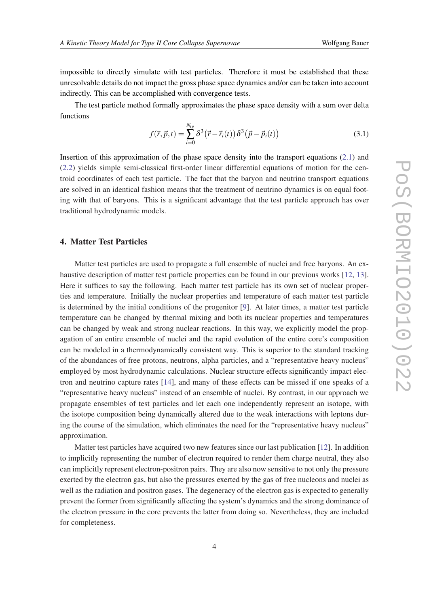impossible to directly simulate with test particles. Therefore it must be established that these unresolvable details do not impact the gross phase space dynamics and/or can be taken into account indirectly. This can be accomplished with convergence tests.

The test particle method formally approximates the phase space density with a sum over delta functions

$$
f(\vec{r}, \vec{p}, t) = \sum_{i=0}^{N_{tp}} \delta^3 (\vec{r} - \vec{r}_i(t)) \delta^3 (\vec{p} - \vec{p}_i(t))
$$
 (3.1)

Insertion of this approximation of the phase space density into the transport equations [\(2.1\)](#page-2-0) and ([2.2\)](#page-2-0) yields simple semi-classical first-order linear differential equations of motion for the centroid coordinates of each test particle. The fact that the baryon and neutrino transport equations are solved in an identical fashion means that the treatment of neutrino dynamics is on equal footing with that of baryons. This is a significant advantage that the test particle approach has over traditional hydrodynamic models.

## 4. Matter Test Particles

Matter test particles are used to propagate a full ensemble of nuclei and free baryons. An exhaustive description of matter test particle properties can be found in our previous works [\[12](#page-8-0), [13\]](#page-8-0). Here it suffices to say the following. Each matter test particle has its own set of nuclear properties and temperature. Initially the nuclear properties and temperature of each matter test particle is determined by the initial conditions of the progenitor [[9](#page-8-0)]. At later times, a matter test particle temperature can be changed by thermal mixing and both its nuclear properties and temperatures can be changed by weak and strong nuclear reactions. In this way, we explicitly model the propagation of an entire ensemble of nuclei and the rapid evolution of the entire core's composition can be modeled in a thermodynamically consistent way. This is superior to the standard tracking of the abundances of free protons, neutrons, alpha particles, and a "representative heavy nucleus" employed by most hydrodynamic calculations. Nuclear structure effects significantly impact electron and neutrino capture rates [\[14\]](#page-8-0), and many of these effects can be missed if one speaks of a "representative heavy nucleus" instead of an ensemble of nuclei. By contrast, in our approach we propagate ensembles of test particles and let each one independently represent an isotope, with the isotope composition being dynamically altered due to the weak interactions with leptons during the course of the simulation, which eliminates the need for the "representative heavy nucleus" approximation.

Matter test particles have acquired two new features since our last publication [\[12](#page-8-0)]. In addition to implicitly representing the number of electron required to render them charge neutral, they also can implicitly represent electron-positron pairs. They are also now sensitive to not only the pressure exerted by the electron gas, but also the pressures exerted by the gas of free nucleons and nuclei as well as the radiation and positron gases. The degeneracy of the electron gas is expected to generally prevent the former from significantly affecting the system's dynamics and the strong dominance of the electron pressure in the core prevents the latter from doing so. Nevertheless, they are included for completeness.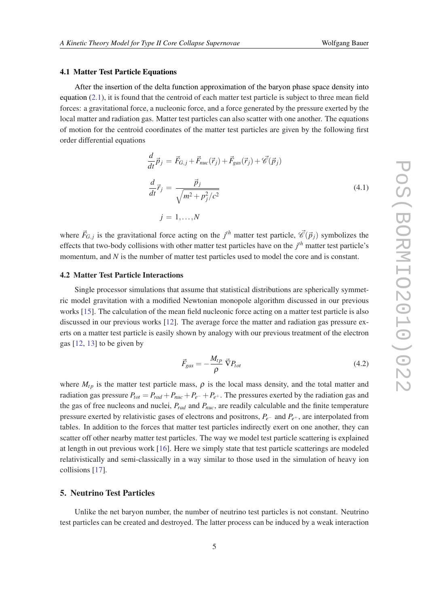#### 4.1 Matter Test Particle Equations

After the insertion of the delta function approximation of the baryon phase space density into equation [\(2.1\)](#page-2-0), it is found that the centroid of each matter test particle is subject to three mean field forces: a gravitational force, a nucleonic force, and a force generated by the pressure exerted by the local matter and radiation gas. Matter test particles can also scatter with one another. The equations of motion for the centroid coordinates of the matter test particles are given by the following first order differential equations

$$
\frac{d}{dt}\vec{p}_j = \vec{F}_{G,j} + \vec{F}_{nuc}(\vec{r}_j) + \vec{F}_{gas}(\vec{r}_j) + \vec{\mathscr{C}}(\vec{p}_j)
$$
\n
$$
\frac{d}{dt}\vec{r}_j = \frac{\vec{p}_j}{\sqrt{m^2 + p_j^2/c^2}}
$$
\n
$$
j = 1, ..., N
$$
\n(4.1)

where  $\vec{F}_{G,j}$  is the gravitational force acting on the  $j^{th}$  matter test particle,  $\vec{\mathscr{C}}(\vec{p}_j)$  symbolizes the effects that two-body collisions with other matter test particles have on the *j th* matter test particle's momentum, and *N* is the number of matter test particles used to model the core and is constant.

#### 4.2 Matter Test Particle Interactions

Single processor simulations that assume that statistical distributions are spherically symmetric model gravitation with a modified Newtonian monopole algorithm discussed in our previous works [\[15\]](#page-8-0). The calculation of the mean field nucleonic force acting on a matter test particle is also discussed in our previous works [[12](#page-8-0)]. The average force the matter and radiation gas pressure exerts on a matter test particle is easily shown by analogy with our previous treatment of the electron gas [\[12](#page-8-0), [13](#page-8-0)] to be given by

$$
\vec{F}_{gas} = -\frac{M_{tp}}{\rho} \vec{\nabla} P_{tot}
$$
\n(4.2)

where  $M_{tp}$  is the matter test particle mass,  $\rho$  is the local mass density, and the total matter and radiation gas pressure  $P_{tot} = P_{rad} + P_{nuc} + P_{e^-} + P_{e^+}$ . The pressures exerted by the radiation gas and the gas of free nucleons and nuclei, *Prad* and *Pnuc*, are readily calculable and the finite temperature pressure exerted by relativistic gases of electrons and positrons, *Pe*<sup>−</sup> and *Pe*<sup>+</sup> , are interpolated from tables. In addition to the forces that matter test particles indirectly exert on one another, they can scatter off other nearby matter test particles. The way we model test particle scattering is explained at length in out previous work [[16\]](#page-9-0). Here we simply state that test particle scatterings are modeled relativistically and semi-classically in a way similar to those used in the simulation of heavy ion collisions [[17](#page-9-0)].

## 5. Neutrino Test Particles

Unlike the net baryon number, the number of neutrino test particles is not constant. Neutrino test particles can be created and destroyed. The latter process can be induced by a weak interaction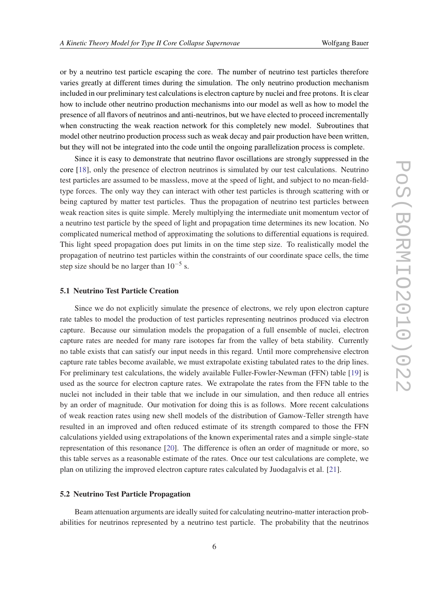or by a neutrino test particle escaping the core. The number of neutrino test particles therefore varies greatly at different times during the simulation. The only neutrino production mechanism included in our preliminary test calculations is electron capture by nuclei and free protons. It is clear how to include other neutrino production mechanisms into our model as well as how to model the presence of all flavors of neutrinos and anti-neutrinos, but we have elected to proceed incrementally when constructing the weak reaction network for this completely new model. Subroutines that model other neutrino production process such as weak decay and pair production have been written, but they will not be integrated into the code until the ongoing parallelization process is complete.

Since it is easy to demonstrate that neutrino flavor oscillations are strongly suppressed in the core [\[18](#page-9-0)], only the presence of electron neutrinos is simulated by our test calculations. Neutrino test particles are assumed to be massless, move at the speed of light, and subject to no mean-fieldtype forces. The only way they can interact with other test particles is through scattering with or being captured by matter test particles. Thus the propagation of neutrino test particles between weak reaction sites is quite simple. Merely multiplying the intermediate unit momentum vector of a neutrino test particle by the speed of light and propagation time determines its new location. No complicated numerical method of approximating the solutions to differential equations is required. This light speed propagation does put limits in on the time step size. To realistically model the propagation of neutrino test particles within the constraints of our coordinate space cells, the time step size should be no larger than  $10^{-5}$  s.

#### 5.1 Neutrino Test Particle Creation

Since we do not explicitly simulate the presence of electrons, we rely upon electron capture rate tables to model the production of test particles representing neutrinos produced via electron capture. Because our simulation models the propagation of a full ensemble of nuclei, electron capture rates are needed for many rare isotopes far from the valley of beta stability. Currently no table exists that can satisfy our input needs in this regard. Until more comprehensive electron capture rate tables become available, we must extrapolate existing tabulated rates to the drip lines. For preliminary test calculations, the widely available Fuller-Fowler-Newman (FFN) table [\[19\]](#page-9-0) is used as the source for electron capture rates. We extrapolate the rates from the FFN table to the nuclei not included in their table that we include in our simulation, and then reduce all entries by an order of magnitude. Our motivation for doing this is as follows. More recent calculations of weak reaction rates using new shell models of the distribution of Gamow-Teller strength have resulted in an improved and often reduced estimate of its strength compared to those the FFN calculations yielded using extrapolations of the known experimental rates and a simple single-state representation of this resonance [\[20](#page-9-0)]. The difference is often an order of magnitude or more, so this table serves as a reasonable estimate of the rates. Once our test calculations are complete, we plan on utilizing the improved electron capture rates calculated by Juodagalvis et al. [[21\]](#page-9-0).

#### 5.2 Neutrino Test Particle Propagation

Beam attenuation arguments are ideally suited for calculating neutrino-matter interaction probabilities for neutrinos represented by a neutrino test particle. The probability that the neutrinos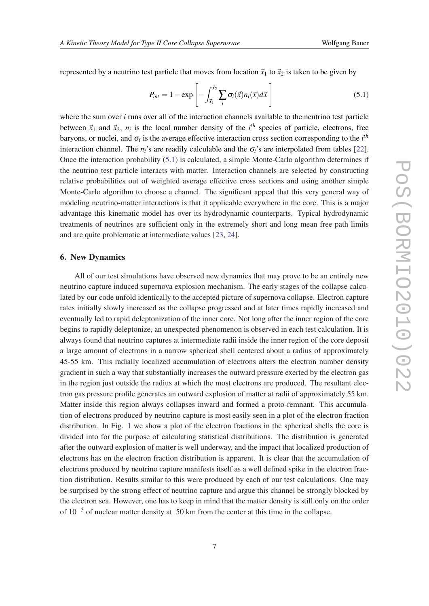<span id="page-6-0"></span>represented by a neutrino test particle that moves from location  $\vec{x}_1$  to  $\vec{x}_2$  is taken to be given by

$$
P_{int} = 1 - \exp\left[-\int_{\vec{x}_1}^{\vec{x}_2} \sum_i \sigma_i(\vec{x}) n_i(\vec{x}) d\vec{x}\right]
$$
\n(5.1)

where the sum over *i* runs over all of the interaction channels available to the neutrino test particle between  $\vec{x}_1$  and  $\vec{x}_2$ ,  $n_i$  is the local number density of the  $i^{th}$  species of particle, electrons, free baryons, or nuclei, and  $\sigma_i$  is the average effective interaction cross section corresponding to the  $i<sup>th</sup>$ interaction channel. The  $n_i$ 's are readily calculable and the  $\sigma_i$ 's are interpolated from tables [[22\]](#page-9-0). Once the interaction probability (5.1) is calculated, a simple Monte-Carlo algorithm determines if the neutrino test particle interacts with matter. Interaction channels are selected by constructing relative probabilities out of weighted average effective cross sections and using another simple Monte-Carlo algorithm to choose a channel. The significant appeal that this very general way of modeling neutrino-matter interactions is that it applicable everywhere in the core. This is a major advantage this kinematic model has over its hydrodynamic counterparts. Typical hydrodynamic treatments of neutrinos are sufficient only in the extremely short and long mean free path limits and are quite problematic at intermediate values [\[23,](#page-9-0) [24](#page-9-0)].

## 6. New Dynamics

All of our test simulations have observed new dynamics that may prove to be an entirely new neutrino capture induced supernova explosion mechanism. The early stages of the collapse calculated by our code unfold identically to the accepted picture of supernova collapse. Electron capture rates initially slowly increased as the collapse progressed and at later times rapidly increased and eventually led to rapid deleptonization of the inner core. Not long after the inner region of the core begins to rapidly deleptonize, an unexpected phenomenon is observed in each test calculation. It is always found that neutrino captures at intermediate radii inside the inner region of the core deposit a large amount of electrons in a narrow spherical shell centered about a radius of approximately 45-55 km. This radially localized accumulation of electrons alters the electron number density gradient in such a way that substantially increases the outward pressure exerted by the electron gas in the region just outside the radius at which the most electrons are produced. The resultant electron gas pressure profile generates an outward explosion of matter at radii of approximately 55 km. Matter inside this region always collapses inward and formed a proto-remnant. This accumulation of electrons produced by neutrino capture is most easily seen in a plot of the electron fraction distribution. In Fig. [1](#page-7-0) we show a plot of the electron fractions in the spherical shells the core is divided into for the purpose of calculating statistical distributions. The distribution is generated after the outward explosion of matter is well underway, and the impact that localized production of electrons has on the electron fraction distribution is apparent. It is clear that the accumulation of electrons produced by neutrino capture manifests itself as a well defined spike in the electron fraction distribution. Results similar to this were produced by each of our test calculations. One may be surprised by the strong effect of neutrino capture and argue this channel be strongly blocked by the electron sea. However, one has to keep in mind that the matter density is still only on the order of  $10^{-3}$  of nuclear matter density at 50 km from the center at this time in the collapse.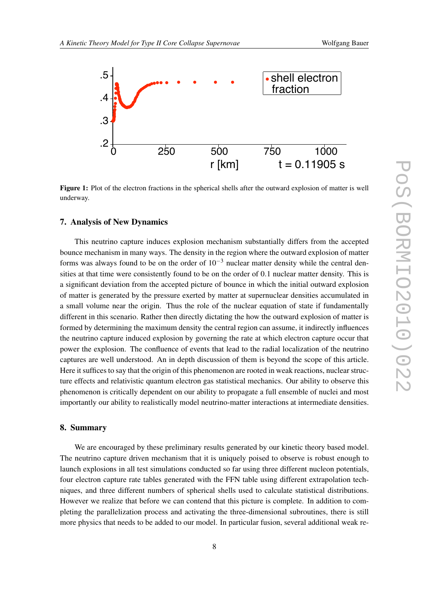<span id="page-7-0"></span>

Figure 1: Plot of the electron fractions in the spherical shells after the outward explosion of matter is well underway.

### 7. Analysis of New Dynamics

This neutrino capture induces explosion mechanism substantially differs from the accepted bounce mechanism in many ways. The density in the region where the outward explosion of matter forms was always found to be on the order of  $10^{-3}$  nuclear matter density while the central densities at that time were consistently found to be on the order of 0.1 nuclear matter density. This is a significant deviation from the accepted picture of bounce in which the initial outward explosion of matter is generated by the pressure exerted by matter at supernuclear densities accumulated in a small volume near the origin. Thus the role of the nuclear equation of state if fundamentally different in this scenario. Rather then directly dictating the how the outward explosion of matter is formed by determining the maximum density the central region can assume, it indirectly influences the neutrino capture induced explosion by governing the rate at which electron capture occur that power the explosion. The confluence of events that lead to the radial localization of the neutrino captures are well understood. An in depth discussion of them is beyond the scope of this article. Here it suffices to say that the origin of this phenomenon are rooted in weak reactions, nuclear structure effects and relativistic quantum electron gas statistical mechanics. Our ability to observe this phenomenon is critically dependent on our ability to propagate a full ensemble of nuclei and most importantly our ability to realistically model neutrino-matter interactions at intermediate densities.

## 8. Summary

We are encouraged by these preliminary results generated by our kinetic theory based model. The neutrino capture driven mechanism that it is uniquely poised to observe is robust enough to launch explosions in all test simulations conducted so far using three different nucleon potentials, four electron capture rate tables generated with the FFN table using different extrapolation techniques, and three different numbers of spherical shells used to calculate statistical distributions. However we realize that before we can contend that this picture is complete. In addition to completing the parallelization process and activating the three-dimensional subroutines, there is still more physics that needs to be added to our model. In particular fusion, several additional weak re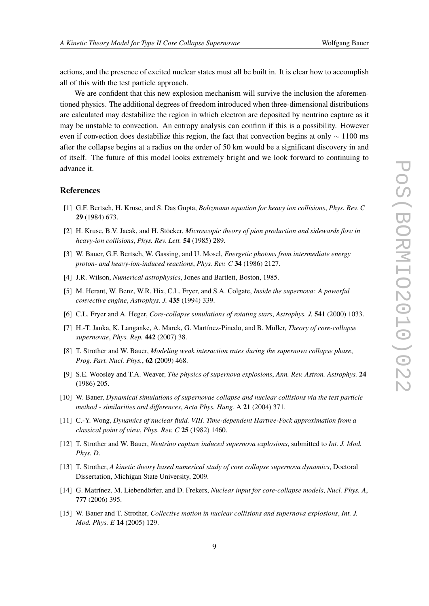<span id="page-8-0"></span>actions, and the presence of excited nuclear states must all be built in. It is clear how to accomplish all of this with the test particle approach.

We are confident that this new explosion mechanism will survive the inclusion the aforementioned physics. The additional degrees of freedom introduced when three-dimensional distributions are calculated may destabilize the region in which electron are deposited by neutrino capture as it may be unstable to convection. An entropy analysis can confirm if this is a possibility. However even if convection does destabilize this region, the fact that convection begins at only  $\sim$  1100 ms after the collapse begins at a radius on the order of 50 km would be a significant discovery in and of itself. The future of this model looks extremely bright and we look forward to continuing to advance it.

#### **References**

- [1] G.F. Bertsch, H. Kruse, and S. Das Gupta, *Boltzmann equation for heavy ion collisions*, *Phys. Rev. C* 29 (1984) 673.
- [2] H. Kruse, B.V. Jacak, and H. Stöcker, *Microscopic theory of pion production and sidewards flow in heavy-ion collisions*, *Phys. Rev. Lett.* 54 (1985) 289.
- [3] W. Bauer, G.F. Bertsch, W. Gassing, and U. Mosel, *Energetic photons from intermediate energy proton- and heavy-ion-induced reactions*, *Phys. Rev. C* 34 (1986) 2127.
- [4] J.R. Wilson, *Numerical astrophysics*, Jones and Bartlett, Boston, 1985.
- [5] M. Herant, W. Benz, W.R. Hix, C.L. Fryer, and S.A. Colgate, *Inside the supernova: A powerful convective engine*, *Astrophys. J.* 435 (1994) 339.
- [6] C.L. Fryer and A. Heger, *Core-collapse simulations of rotating stars*, *Astrophys. J.* 541 (2000) 1033.
- [7] H.-T. Janka, K. Langanke, A. Marek, G. Martínez-Pinedo, and B. Müller, *Theory of core-collapse supernovae*, *Phys. Rep.* 442 (2007) 38.
- [8] T. Strother and W. Bauer, *Modeling weak interaction rates during the supernova collapse phase*, *Prog. Part. Nucl. Phys.*, 62 (2009) 468.
- [9] S.E. Woosley and T.A. Weaver, *The physics of supernova explosions*, *Ann. Rev. Astron. Astrophys.* 24 (1986) 205.
- [10] W. Bauer, *Dynamical simulations of supernovae collapse and nuclear collisions via the test particle method - similarities and differences*, *Acta Phys. Hung.* A 21 (2004) 371.
- [11] C.-Y. Wong, *Dynamics of nuclear fluid. VIII. Time-dependent Hartree-Fock approximation from a classical point of view*, *Phys. Rev. C* 25 (1982) 1460.
- [12] T. Strother and W. Bauer, *Neutrino capture induced supernova explosions*, submitted to *Int. J. Mod. Phys. D*.
- [13] T. Strother, *A kinetic theory based numerical study of core collapse supernova dynamics*, Doctoral Dissertation, Michigan State University, 2009.
- [14] G. Matrínez, M. Liebendörfer, and D. Frekers, *Nuclear input for core-collapse models*, *Nucl. Phys. A*, 777 (2006) 395.
- [15] W. Bauer and T. Strother, *Collective motion in nuclear collisions and supernova explosions*, *Int. J. Mod. Phys. E* 14 (2005) 129.